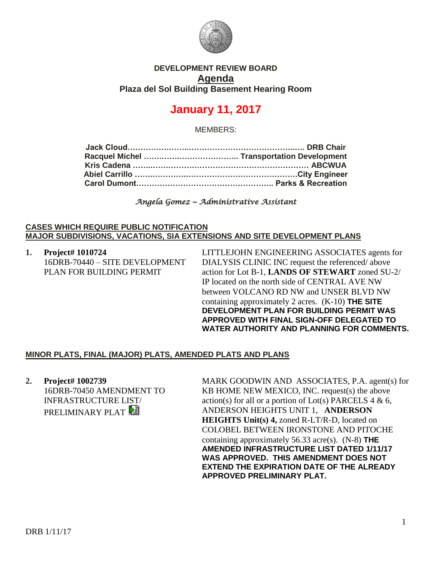

## **DEVELOPMENT REVIEW BOARD Agenda Plaza del Sol Building Basement Hearing Room**

## **January 11, 2017**

MEMBERS:

| Abiel Carrillo ………………………………………………………City Engineer |
|---------------------------------------------------|
|                                                   |
|                                                   |

*Angela Gomez ~ Administrative Assistant* 

## **CASES WHICH REQUIRE PUBLIC NOTIFICATION MAJOR SUBDIVISIONS, VACATIONS, SIA EXTENSIONS AND SITE DEVELOPMENT PLANS**

**1. Project# 1010724** 16DRB-70440 – SITE DEVELOPMENT PLAN FOR BUILDING PERMIT

LITTLEJOHN ENGINEERING ASSOCIATES agents for DIALYSIS CLINIC INC request the referenced/ above action for Lot B-1, **LANDS OF STEWART** zoned SU-2/ IP located on the north side of CENTRAL AVE NW between VOLCANO RD NW and UNSER BLVD NW containing approximately 2 acres. (K-10) **THE SITE DEVELOPMENT PLAN FOR BUILDING PERMIT WAS APPROVED WITH FINAL SIGN-OFF DELEGATED TO WATER AUTHORITY AND PLANNING FOR COMMENTS.**

## **MINOR PLATS, FINAL (MAJOR) PLATS, AMENDED PLATS AND PLANS**

**2. Project# 1002739** 16DRB-70450 AMENDMENT TO INFRASTRUCTURE LIST/ PRELIMINARY PLAT

MARK GOODWIN AND ASSOCIATES, P.A. agent(s) for KB HOME NEW MEXICO, INC. request(s) the above action(s) for all or a portion of Lot(s) PARCELS  $4 \& 6$ , ANDERSON HEIGHTS UNIT 1, **ANDERSON HEIGHTS Unit(s) 4,** zoned R-LT/R-D, located on COLOBEL BETWEEN IRONSTONE AND PITOCHE containing approximately 56.33 acre(s). (N-8) **THE AMENDED INFRASTRUCTURE LIST DATED 1/11/17 WAS APPROVED. THIS AMENDMENT DOES NOT EXTEND THE EXPIRATION DATE OF THE ALREADY APPROVED PRELIMINARY PLAT.**